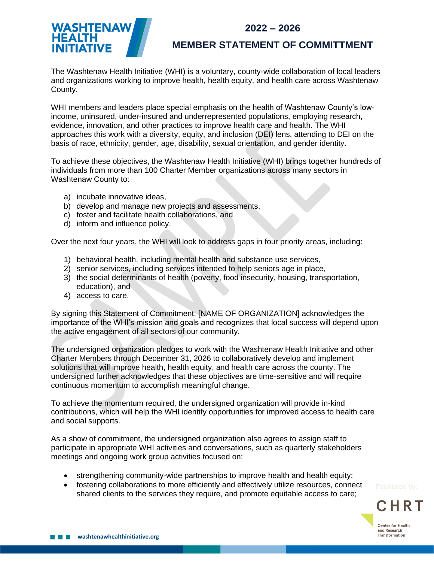**2022 – 2026**



## **MEMBER STATEMENT OF COMMITTMENT**

The Washtenaw Health Initiative (WHI) is a voluntary, county-wide collaboration of local leaders and organizations working to improve health, health equity, and health care across Washtenaw County.

WHI members and leaders place special emphasis on the health of Washtenaw County's lowincome, uninsured, under-insured and underrepresented populations, employing research, evidence, innovation, and other practices to improve health care and health. The WHI approaches this work with a diversity, equity, and inclusion (DEI) lens, attending to DEI on the basis of race, ethnicity, gender, age, disability, sexual orientation, and gender identity.

To achieve these objectives, the Washtenaw Health Initiative (WHI) brings together hundreds of individuals from more than 100 Charter Member organizations across many sectors in Washtenaw County to:

- a) incubate innovative ideas,
- b) develop and manage new projects and assessments,
- c) foster and facilitate health collaborations, and
- d) inform and influence policy.

Over the next four years, the WHI will look to address gaps in four priority areas, including:

- 1) behavioral health, including mental health and substance use services,
- 2) senior services, including services intended to help seniors age in place,
- 3) the social determinants of health (poverty, food insecurity, housing, transportation, education), and
- 4) access to care.

By signing this Statement of Commitment, [NAME OF ORGANIZATION] acknowledges the importance of the WHI's mission and goals and recognizes that local success will depend upon the active engagement of all sectors of our community.

The undersigned organization pledges to work with the Washtenaw Health Initiative and other Charter Members through December 31, 2026 to collaboratively develop and implement solutions that will improve health, health equity, and health care across the county. The undersigned further acknowledges that these objectives are time-sensitive and will require continuous momentum to accomplish meaningful change.

To achieve the momentum required, the undersigned organization will provide in-kind contributions, which will help the WHI identify opportunities for improved access to health care and social supports.

As a show of commitment, the undersigned organization also agrees to assign staff to participate in appropriate WHI activities and conversations, such as quarterly stakeholders meetings and ongoing work group activities focused on:

- strengthening community-wide partnerships to improve health and health equity;
- fostering collaborations to more efficiently and effectively utilize resources, connect shared clients to the services they require, and promote equitable access to care;

C H R Center for Health and Research **Transformation**